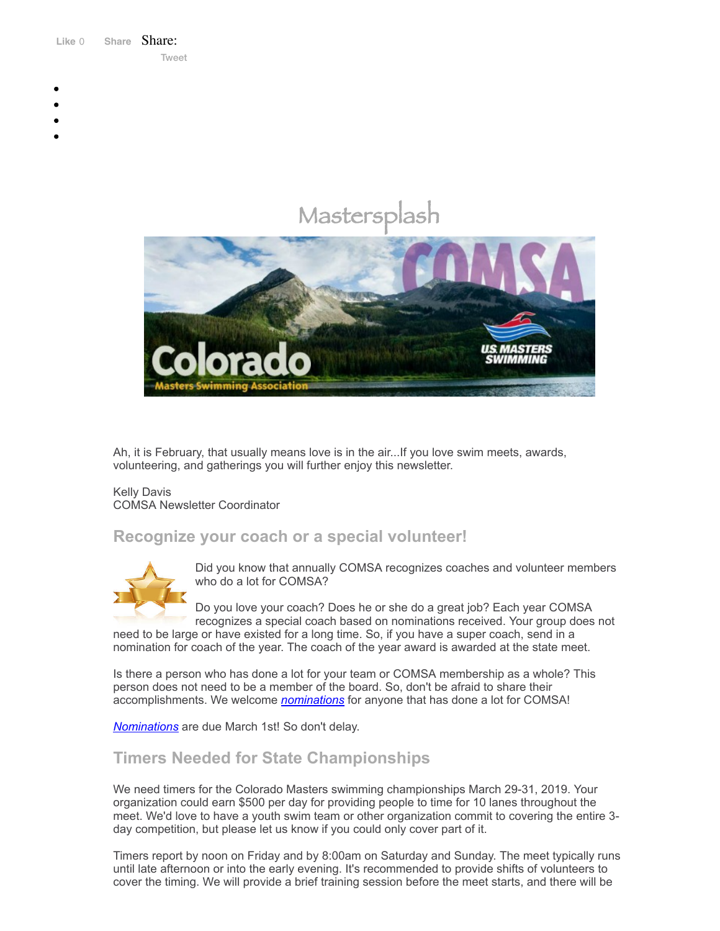Like 0 **[Share](https://www.facebook.com/sharer/sharer.php?u=https%3A%2F%2Fmyemail.constantcontact.com%2FCOMSA-Newsletter---February-2019.html%3Fsoid%3D1108936408185%26aid%3Dso-34QK83kU&display=popup&ref=plugin&src=like&kid_directed_site=0&app_id=120295828008556)** Share: [Tweet](https://twitter.com/intent/tweet?original_referer=https%3A%2F%2Fmyemail.constantcontact.com%2FCOMSA-Newsletter---February-2019.html%3Fsoid%3D1108936408185%26aid%3Dso-34QK83kU&ref_src=twsrc%5Etfw&text=COMSA%20Newsletter%20-%20February%202019&tw_p=tweetbutton&url=https%3A%2F%2Fmyemail.constantcontact.com%2FCOMSA-Newsletter---February-2019.html%3Fsoid%3D1108936408185%26aid%3Dso-34QK83kU)

- 
- 
- 
- 
- 

# Mastersplash



Ah, it is February, that usually means love is in the air...If you love swim meets, awards, volunteering, and gatherings you will further enjoy this newsletter.

#### Kelly Davis COMSA Newsletter Coordinator

#### **Recognize your coach or a special volunteer!**



Did you know that annually COMSA recognizes coaches and volunteer members who do a lot for COMSA?

Do you love your coach? Does he or she do a great job? Each year COMSA recognizes a special coach based on nominations received. Your group does not

need to be large or have existed for a long time. So, if you have a super coach, send in a nomination for coach of the year. The coach of the year award is awarded at the state meet.

Is there a person who has done a lot for your team or COMSA membership as a whole? This person does not need to be a member of the board. So, don't be afraid to share their accomplishments. We welcome *[nominations](http://comsa.org/forms/Award%20Nomination%20Form_2019.docx)* for anyone that has done a lot for COMSA!

*[Nominations](http://comsa.org/forms/Award%20Nomination%20Form_2019.docx)* are due March 1st! So don't delay.

### **Timers Needed for State Championships**

We need timers for the Colorado Masters swimming championships March 29-31, 2019. Your organization could earn \$500 per day for providing people to time for 10 lanes throughout the meet. We'd love to have a youth swim team or other organization commit to covering the entire 3 day competition, but please let us know if you could only cover part of it.

Timers report by noon on Friday and by 8:00am on Saturday and Sunday. The meet typically runs until late afternoon or into the early evening. It's recommended to provide shifts of volunteers to cover the timing. We will provide a brief training session before the meet starts, and there will be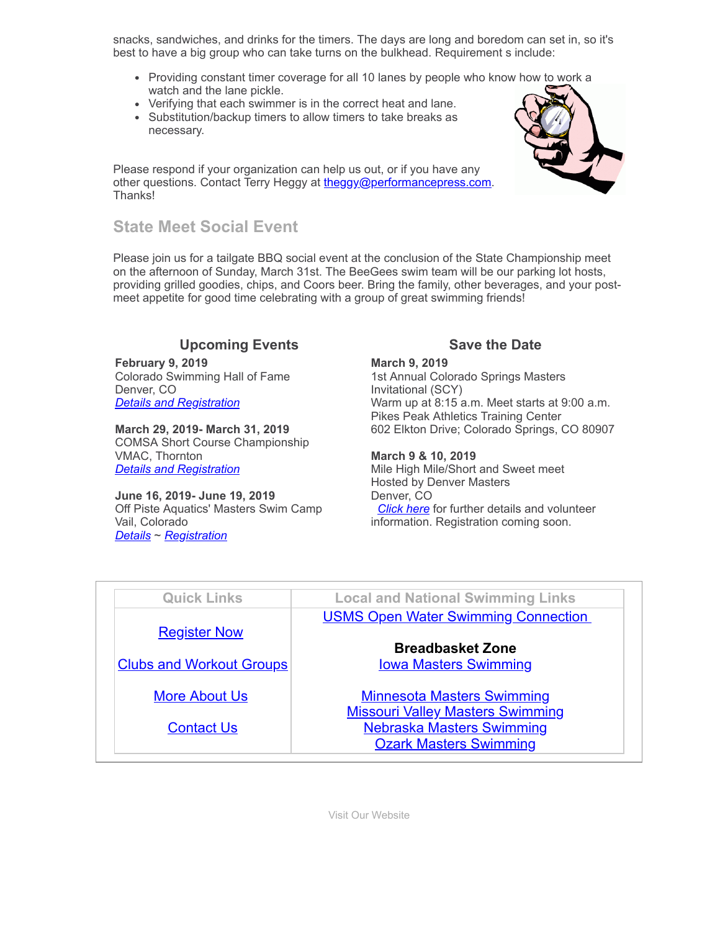snacks, sandwiches, and drinks for the timers. The days are long and boredom can set in, so it's best to have a big group who can take turns on the bulkhead. Requirement s include:

- Providing constant timer coverage for all 10 lanes by people who know how to work a watch and the lane pickle.
- Verifying that each swimmer is in the correct heat and lane.
- Substitution/backup timers to allow timers to take breaks as necessary.

Please respond if your organization can help us out, or if you have any other questions. Contact Terry Heggy at [theggy@performancepress.com.](mailto:theggy@performancepress.com) Thanks!



Please join us for a tailgate BBQ social event at the conclusion of the State Championship meet on the afternoon of Sunday, March 31st. The BeeGees swim team will be our parking lot hosts, providing grilled goodies, chips, and Coors beer. Bring the family, other beverages, and your postmeet appetite for good time celebrating with a group of great swimming friends!

#### **Upcoming Events Save the Date**

**February 9, 2019** Colorado Swimming Hall of Fame Denver, CO *Details and [Registration](http://comsa.org/events/2019/CSHOF%20Meet%20Feb%202019.pdf)*

**March 29, 2019- March 31, 2019** COMSA Short Course Championship VMAC, Thornton *Details and [Registration](https://www.clubassistant.com/club/meet_information.cfm?c=1279&smid=11205)*

**June 16, 2019- June 19, 2019** Off Piste Aquatics' Masters Swim Camp Vail, Colorado *[Details](https://www.offpisteaquatics.com/what-is-off-piste-1)* ~ *[Registration](https://www.clubassistant.com/club/cl.cfm?c=2398)*

**March 9, 2019** 1st Annual Colorado Springs Masters Invitational (SCY) Warm up at 8:15 a.m. Meet starts at 9:00 a.m.

Pikes Peak Athletics Training Center 602 Elkton Drive; Colorado Springs, CO 80907

#### **March 9 & 10, 2019**

Mile High Mile/Short and Sweet meet Hosted by Denver Masters Denver, CO *[Click](http://comsa.org/events/2019/Denver%20Mile%20High_Sweet%20Short_2019.pdf) here* for further details and volunteer information. Registration coming soon.

| <b>Quick Links</b>              | <b>Local and National Swimming Links</b>   |
|---------------------------------|--------------------------------------------|
|                                 | <b>USMS Open Water Swimming Connection</b> |
| <b>Register Now</b>             |                                            |
|                                 | <b>Breadbasket Zone</b>                    |
| <b>Clubs and Workout Groups</b> | <b>lowa Masters Swimming</b>               |
| <b>More About Us</b>            | <b>Minnesota Masters Swimming</b>          |
|                                 | <b>Missouri Valley Masters Swimming</b>    |
| <b>Contact Us</b>               | <b>Nebraska Masters Swimming</b>           |
|                                 | <b>Ozark Masters Swimming</b>              |

[Visit Our Website](http://comsa.org/)